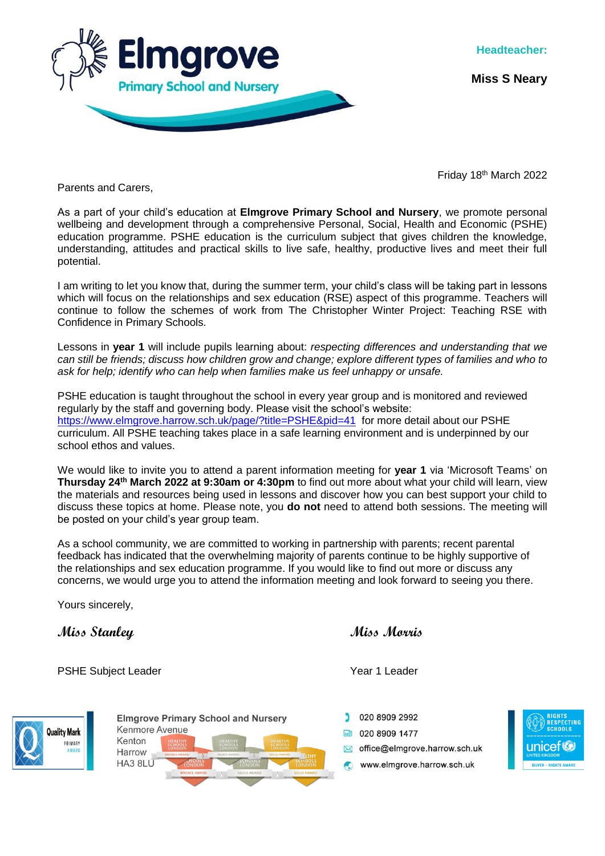

**Miss S Neary**

Friday 18<sup>th</sup> March 2022

Parents and Carers,

As a part of your child's education at **Elmgrove Primary School and Nursery**, we promote personal wellbeing and development through a comprehensive Personal, Social, Health and Economic (PSHE) education programme. PSHE education is the curriculum subject that gives children the knowledge, understanding, attitudes and practical skills to live safe, healthy, productive lives and meet their full potential.

I am writing to let you know that, during the summer term, your child's class will be taking part in lessons which will focus on the relationships and sex education (RSE) aspect of this programme. Teachers will continue to follow the schemes of work from The Christopher Winter Project: Teaching RSE with Confidence in Primary Schools.

Lessons in **year 1** will include pupils learning about: *respecting differences and understanding that we can still be friends; discuss how children grow and change; explore different types of families and who to ask for help; identify who can help when families make us feel unhappy or unsafe.*

PSHE education is taught throughout the school in every year group and is monitored and reviewed regularly by the staff and governing body. Please visit the school's website: <https://www.elmgrove.harrow.sch.uk/page/?title=PSHE&pid=41> for more detail about our PSHE curriculum. All PSHE teaching takes place in a safe learning environment and is underpinned by our school ethos and values.

We would like to invite you to attend a parent information meeting for **year 1** via 'Microsoft Teams' on **Thursday 24th March 2022 at 9:30am or 4:30pm** to find out more about what your child will learn, view the materials and resources being used in lessons and discover how you can best support your child to discuss these topics at home. Please note, you **do not** need to attend both sessions. The meeting will be posted on your child's year group team.

As a school community, we are committed to working in partnership with parents; recent parental feedback has indicated that the overwhelming majority of parents continue to be highly supportive of the relationships and sex education programme. If you would like to find out more or discuss any concerns, we would urge you to attend the information meeting and look forward to seeing you there.

Yours sincerely,

**Miss Stanley Miss Morris**

PSHE Subject Leader Next Controller Next Controller Next Controller Next Controller Next Controller Next Controller



**Elmgrove Primary School and Nursery** Kenmore Avenue Kenton Harrow HA3 8LU

020 8909 2992 ■ 020 8909 1477 office@eImgrove.harrow.sch.uk www.elmgrove.harrow.sch.uk